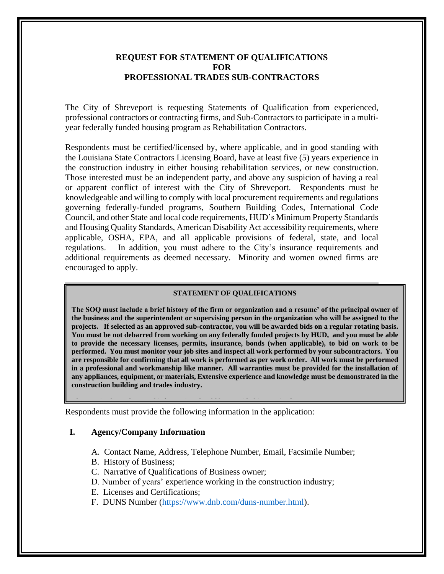### **REQUEST FOR STATEMENT OF QUALIFICATIONS FOR PROFESSIONAL TRADES SUB-CONTRACTORS**

The City of Shreveport is requesting Statements of Qualification from experienced, professional contractors or contracting firms, and Sub-Contractors to participate in a multiyear federally funded housing program as Rehabilitation Contractors.

Respondents must be certified/licensed by, where applicable, and in good standing with the Louisiana State Contractors Licensing Board, have at least five (5) years experience in the construction industry in either housing rehabilitation services, or new construction. Those interested must be an independent party, and above any suspicion of having a real or apparent conflict of interest with the City of Shreveport. Respondents must be knowledgeable and willing to comply with local procurement requirements and regulations governing federally-funded programs, Southern Building Codes, International Code Council, and other State and local code requirements, HUD's Minimum Property Standards and Housing Quality Standards, American Disability Act accessibility requirements, where applicable, OSHA, EPA, and all applicable provisions of federal, state, and local regulations. In addition, you must adhere to the City's insurance requirements and additional requirements as deemed necessary. Minority and women owned firms are encouraged to apply.

#### **STATEMENT OF QUALIFICATIONS**

**The SOQ must include a brief history of the firm or organization and a resume' of the principal owner of the business and the superintendent or supervising person in the organization who will be assigned to the projects. If selected as an approved sub-contractor, you will be awarded bids on a regular rotating basis. You must be not debarred from working on any federally funded projects by HUD, and you must be able to provide the necessary licenses, permits, insurance, bonds (when applicable), to bid on work to be performed. You must monitor your job sites and inspect all work performed by your subcontractors. You are responsible for confirming that all work is performed as per work order. All work must be performed in a professional and workmanship like manner. All warranties must be provided for the installation of any appliances, equipment, or materials, Extensive experience and knowledge must be demonstrated in the construction building and trades industry.** 

Respondents must provide the following information in the application: **The required supplemental information should be provided in concise form:**

#### **I. Agency/Company Information**

- A. Contact Name, Address, Telephone Number, Email, Facsimile Number;
- B. History of Business;
- C. Narrative of Qualifications of Business owner;
- D. Number of years' experience working in the construction industry;
- E. Licenses and Certifications;
- F. DUNS Number [\(https://www.dnb.com/duns-number.html\)](https://www.dnb.com/duns-number.html).